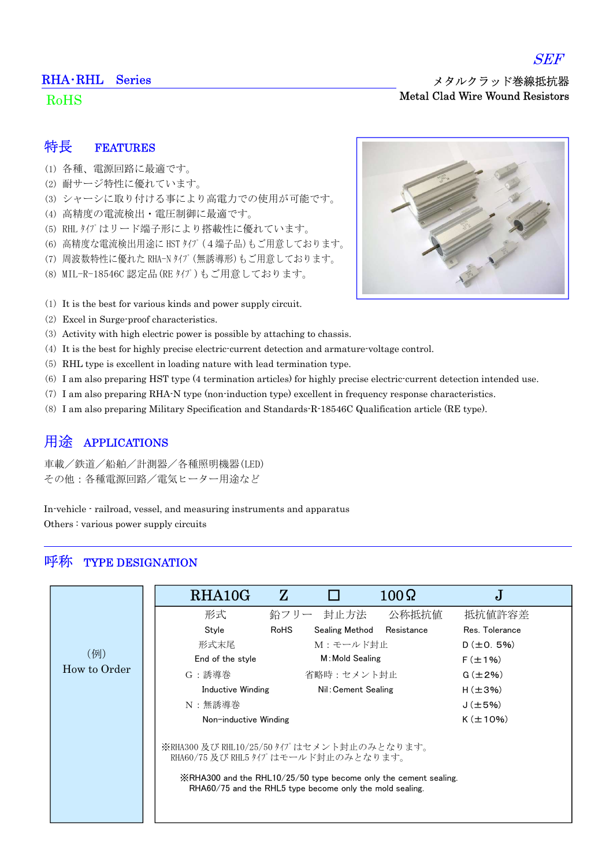#### RHA・RHL Series

#### RoHS

SEF

### 特長 FEATURES

- (1) 各種、電源回路に最適です。
- (2) 耐サージ特性に優れています。
- (3) シャーシに取り付ける事により高電力での使用が可能です。
- (4) 高精度の電流検出・電圧制御に最適です。
- (5) RHL タイプはリード端子形により搭載性に優れています。
- (6) 高精度な電流検出用途に HST タイプ(4端子品)もご用意しております。
- (7) 周波数特性に優れた RHA-N タイプ(無誘導形)もご用意しております。
- (8) MIL-R-18546C 認定品(RE タイプ)もご用意しております。
- (1) It is the best for various kinds and power supply circuit.
- (2) Excel in Surge-proof characteristics.
- (3) Activity with high electric power is possible by attaching to chassis.
- (4) It is the best for highly precise electric-current detection and armature-voltage control.
- (5) RHL type is excellent in loading nature with lead termination type.
- (6) I am also preparing HST type (4 termination articles) for highly precise electric-current detection intended use.
- (7) I am also preparing RHA-N type (non-induction type) excellent in frequency response characteristics.
- (8) I am also preparing Military Specification and Standards-R-18546C Qualification article (RE type).

### 用途 APPLICATIONS

車載/鉄道/船舶/計測器/各種照明機器(LED) その他:各種電源回路/電気ヒーター用途など

In-vehicle - railroad, vessel, and measuring instruments and apparatus Others : various power supply circuits

### 呼称 TYPE DESIGNATION

|              | RHA10G                | $\mathbf{Z}$                                                                                                                                                                                                                  | $100\Omega$     | J              |  |  |  |  |  |
|--------------|-----------------------|-------------------------------------------------------------------------------------------------------------------------------------------------------------------------------------------------------------------------------|-----------------|----------------|--|--|--|--|--|
|              | 形式                    | 封止方法<br>鉛フリー                                                                                                                                                                                                                  | 公称抵抗值           | 抵抗値許容差         |  |  |  |  |  |
|              | Style                 | Sealing Method<br>RoHS                                                                                                                                                                                                        | Resistance      | Res. Tolerance |  |  |  |  |  |
|              | 形式末尾                  | M:モールド封止                                                                                                                                                                                                                      | $D (\pm 0.5\%)$ |                |  |  |  |  |  |
| (例)          | End of the style      | M: Mold Sealing                                                                                                                                                                                                               |                 | $F (\pm 1\%)$  |  |  |  |  |  |
| How to Order | G:誘導巻                 | 省略時:セメント封止                                                                                                                                                                                                                    | $G(\pm 2\%)$    |                |  |  |  |  |  |
|              | Inductive Winding     | Nil: Cement Sealing                                                                                                                                                                                                           |                 | $H(\pm 3\%)$   |  |  |  |  |  |
|              | N:無誘導巻                |                                                                                                                                                                                                                               |                 | $J(\pm 5\%)$   |  |  |  |  |  |
|              | Non-inductive Winding |                                                                                                                                                                                                                               |                 | $K(\pm 10\%)$  |  |  |  |  |  |
|              |                       | ※RHA300 及び RHL10/25/50 タイプはセメント封止のみとなります。<br>RHA60/75 及び RHL5 タイプはモールド封止のみとなります。<br>$\frac{1}{2}$ RHA300 and the RHL10/25/50 type become only the cement sealing.<br>RHA60/75 and the RHL5 type become only the mold sealing. |                 |                |  |  |  |  |  |

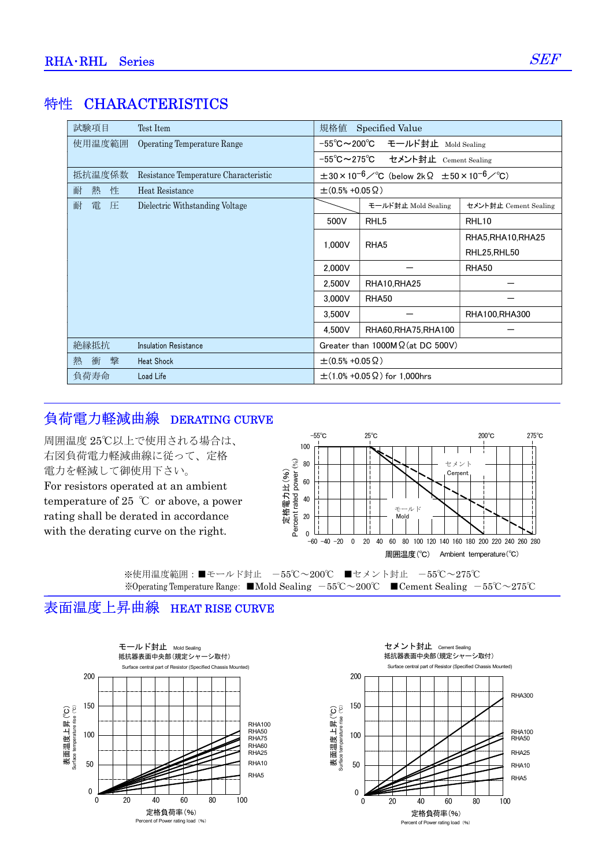# **特性 CHARACTERISTICS**

| 試験項目        | Test Item                             | 規格値                                          | Specified Value                                                               |                       |
|-------------|---------------------------------------|----------------------------------------------|-------------------------------------------------------------------------------|-----------------------|
| 使用温度範囲      | Operating Temperature Range           | $-55^{\circ}$ C $\thicksim$ 200 $^{\circ}$ C | モールド封止 Mold Sealing                                                           |                       |
|             |                                       |                                              | -55℃~275℃ セメント封止 Cement Sealing                                               |                       |
| 抵抗温度係数      | Resistance Temperature Characteristic |                                              | $\pm 30 \times 10^{-6}$ / °C (below 2k $\Omega$ $\pm 50 \times 10^{-6}$ / °C) |                       |
| 性<br>熱<br>耐 | Heat Resistance                       | $\pm$ (0.5% +0.05 $\Omega$ )                 |                                                                               |                       |
| 耐<br>電<br>圧 | Dielectric Withstanding Voltage       |                                              | モールド封止 Mold Sealing                                                           | セメント封止 Cement Sealing |
|             |                                       | 500V                                         | RHL <sub>5</sub>                                                              | RHL10                 |
|             |                                       | 1,000V                                       | RHA <sub>5</sub>                                                              | RHA5, RHA10, RHA25    |
|             |                                       |                                              |                                                                               | RHL25, RHL50          |
|             |                                       | 2,000V                                       |                                                                               | RHA50                 |
|             |                                       | 2.500V                                       | RHA10,RHA25                                                                   |                       |
|             |                                       | 3.000V                                       | RHA50                                                                         |                       |
|             |                                       | 3,500V                                       |                                                                               | RHA100,RHA300         |
|             |                                       | 4.500V                                       | RHA60, RHA75, RHA100                                                          |                       |
| 絶縁抵抗        | Insulation Resistance                 |                                              | Greater than $1000M\Omega$ (at DC 500V)                                       |                       |
| 蟿<br>熱<br>衝 | <b>Heat Shock</b>                     | $\pm$ (0.5% +0.05 $\Omega$ )                 |                                                                               |                       |
| 負荷寿命        | Load Life                             |                                              | $\pm$ (1.0% +0.05 $\Omega$ ) for 1,000hrs                                     |                       |

# 負荷電力軽減曲線 DERATING CURVE

Percent rated power (%) 周囲温度(℃) Ambient temperature(℃) 定格電力比(%)<br>Percent rated power (%) 100 80 60 40 20 0<br> $-60$   $-40$   $-20$ -60 -40 -20 0 20 40 60 80 100 120 140 160 180 200 220 240 260 280 -55℃ 25℃ 200℃ 275℃ 周囲温度 25℃以上で使用される場合は、 右図負荷電力軽減曲線に従って、定格 電力を軽減して御使用下さい。 For resistors operated at an ambient temperature of 25  $\degree$ C or above, a power rating shall be derated in accordance with the derating curve on the right. ※使用温度範囲:■モールド封止 -55℃~200℃ ■セメント封止 -55℃~275℃ ※Operating Temperature Range: ■Mold Sealing -55℃~200℃ ■Cement Sealing -55℃~275℃ モールド Mold セメント  $\sim$ 

## 表面温度上昇曲線 HEAT RISE CURVE



セメント封止 Cement Sealing Surface central part of Resistor (Specified Chassis Mounted) 抵抗器表面中央部(規定シャーシ取付)

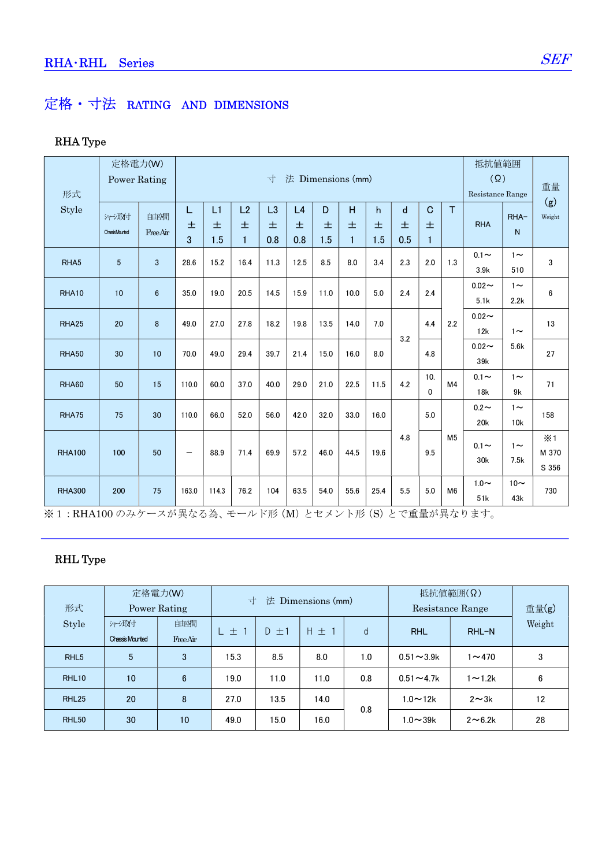# 定格・寸法 RATING AND DIMENSIONS

### RHA Type

|                  | 定格電力(W)               |                |                          |                        |                   |          |          |          |      |          |              | 抵抗值範囲                          |                |                               |                 |                              |  |
|------------------|-----------------------|----------------|--------------------------|------------------------|-------------------|----------|----------|----------|------|----------|--------------|--------------------------------|----------------|-------------------------------|-----------------|------------------------------|--|
| 形式               | <b>Power Rating</b>   |                |                          | 法 Dimensions (mm)<br>寸 |                   |          |          |          |      |          |              | $(\Omega)$<br>Resistance Range |                | 重量                            |                 |                              |  |
| Style            | 沖澱                    | 自由空間           | L                        | L1                     | L2                | L3       | L4       | D        | H    | h.       | $\mathsf{d}$ | $\mathbf C$                    | T              |                               | RHA-            | (g)<br>Weight                |  |
|                  | <b>ChassisMounted</b> | FreeAir        | 士<br>3                   | 土<br>1.5               | 土<br>$\mathbf{1}$ | 土<br>0.8 | 土<br>0.8 | 土<br>1.5 | 土    | 土<br>1.5 | 士<br>0.5     | 土                              |                | <b>RHA</b>                    | $\mathsf{N}$    |                              |  |
| RHA <sub>5</sub> | $5\phantom{.0}$       | 3              | 28.6                     | 15.2                   | 16.4              | 11.3     | 12.5     | 8.5      | 8.0  | 3.4      | 2.3          | 2.0                            | 1.3            | $0.1 -$<br>3.9k               | $1\sim$<br>510  | 3                            |  |
| RHA10            | 10                    | $6\phantom{1}$ | 35.0                     | 19.0                   | 20.5              | 14.5     | 15.9     | 11.0     | 10.0 | 5.0      | 2.4          | 2.4                            |                | $0.02 -$<br>5.1k              | $1\sim$<br>2.2k | 6                            |  |
| RHA25            | 20                    | 8              | 49.0                     | 27.0                   | 27.8              | 18.2     | 19.8     | 13.5     | 14.0 | 7.0      | 3.2          | 4.4                            | 2.2            | $0.02 -$<br>12k               | $1\sim$         | 13                           |  |
| <b>RHA50</b>     | 30                    | 10             | 70.0                     | 49.0                   | 29.4              | 39.7     | 21.4     | 15.0     | 16.0 | 8.0      |              | 4.8                            |                | $0.02 -$<br>39k               | 5.6k            | 27                           |  |
| RHA60            | 50                    | 15             | 110.0                    | 60.0                   | 37.0              | 40.0     | 29.0     | 21.0     | 22.5 | 11.5     | 4.2          | 10.<br>$\mathbf{0}$            | M4             | $0.1 -$<br>18k                | $1\sim$<br>9k   | 71                           |  |
| RHA75            | 75                    | 30             | 110.0                    | 66.0                   | 52.0              | 56.0     | 42.0     | 32.0     | 33.0 | 16.0     |              | 5.0                            |                | $0.2 \sim$<br>20 <sub>k</sub> | $1\sim$<br>10k  | 158                          |  |
| <b>RHA100</b>    | 100                   | 50             | $\overline{\phantom{m}}$ | 88.9                   | 71.4              | 69.9     | 57.2     | 46.0     | 44.5 | 19.6     | 4.8          | 9.5                            | M <sub>5</sub> | $0.1 -$<br>30k                | $1\sim$<br>7.5k | $\times$ 1<br>M 370<br>S 356 |  |
| <b>RHA300</b>    | 200                   | 75             | 163.0                    | 114.3                  | 76.2              | 104      | 63.5     | 54.0     | 55.6 | 25.4     | 5.5          | 5.0                            | M <sub>6</sub> | $1.0 \sim$<br>51k             | $10-$<br>43k    | 730                          |  |

※1:RHA100のみケースが異なる為、モールド形(M)とセメント形(S)とで重量が異なります。

### RHL Type

| 形式                | 定格電力(W)<br>Power Rating       |                 | 寸    |           | 法 Dimensions (mm) |     | 抵抗值範囲(Q)<br>Resistance Range | 重量(g)         |        |  |
|-------------------|-------------------------------|-----------------|------|-----------|-------------------|-----|------------------------------|---------------|--------|--|
| Style             | 沙取付<br><b>Chassis Mounted</b> | 邮部<br>FreeAir   | 七土   | $D \pm 1$ | <b>H</b> 土        | d   | <b>RHL</b>                   | RHL-N         | Weight |  |
| RHL <sub>5</sub>  | $5\phantom{.0}$               | 3               | 15.3 | 8.5       | 8.0               | 1.0 | $0.51 - 3.9k$                | $1 - 470$     | 3      |  |
| RHL <sub>10</sub> | 10                            | $6\phantom{1}$  | 19.0 | 11.0      | 11.0              | 0.8 | $0.51 - 4.7k$                | $1 - 1.2k$    | 6      |  |
| RHL <sub>25</sub> | 20                            | 8               | 27.0 | 13.5      | 14.0              |     | $1.0 - 12k$                  | $2 \sim 3k$   | 12     |  |
| RHL <sub>50</sub> | 30                            | 10 <sup>1</sup> | 49.0 | 15.0      | 16.0              | 0.8 | $1.0-39k$                    | $2 \sim 6.2k$ | 28     |  |